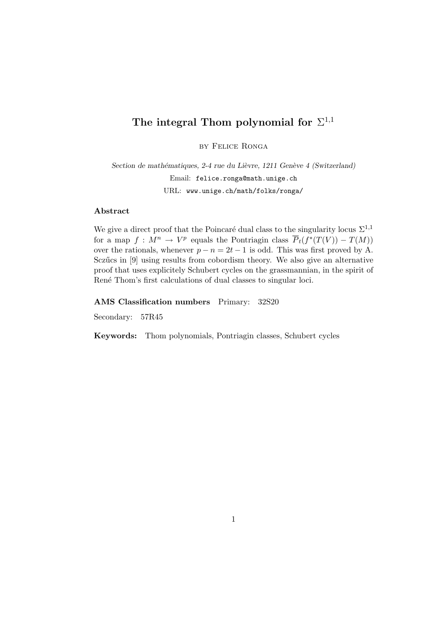## The integral Thom polynomial for  $\Sigma^{1,1}$

by Felice Ronga

Section de mathématiques, 2-4 rue du Lièvre, 1211 Genève 4 (Switzerland) Email: felice.ronga@math.unige.ch URL: www.unige.ch/math/folks/ronga/

## Abstract

We give a direct proof that the Poincaré dual class to the singularity locus  $\Sigma^{1,1}$ for a map  $f: M^n \to V^p$  equals the Pontriagin class  $\overline{P}_t(f^*(T(V)) - T(M))$ over the rationals, whenever  $p - n = 2t - 1$  is odd. This was first proved by A. Sczűcs in [9] using results from cobordism theory. We also give an alternative proof that uses explicitely Schubert cycles on the grassmannian, in the spirit of René Thom's first calculations of dual classes to singular loci.

AMS Classification numbers Primary: 32S20

Secondary: 57R45

Keywords: Thom polynomials, Pontriagin classes, Schubert cycles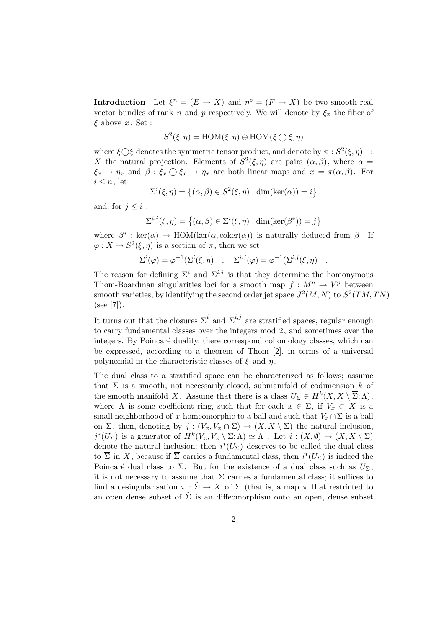**Introduction** Let  $\xi^n = (E \to X)$  and  $\eta^p = (F \to X)$  be two smooth real vector bundles of rank n and p respectively. We will denote by  $\xi_x$  the fiber of  $\xi$  above x. Set :

$$
S^2(\xi, \eta) = \text{HOM}(\xi, \eta) \oplus \text{HOM}(\xi \bigcirc \xi, \eta)
$$

where  $\xi \bigcirc \xi$  denotes the symmetric tensor product, and denote by  $\pi : S^2(\xi, \eta) \to$ X the natural projection. Elements of  $S^2(\xi, \eta)$  are pairs  $(\alpha, \beta)$ , where  $\alpha =$  $\xi_x \to \eta_x$  and  $\beta : \xi_x \bigcirc \xi_x \to \eta_x$  are both linear maps and  $x = \pi(\alpha, \beta)$ . For  $i \leq n$ , let

$$
\Sigma^{i}(\xi,\eta) = \left\{ (\alpha,\beta) \in S^{2}(\xi,\eta) \mid \dim(\ker(\alpha)) = i \right\}
$$

and, for  $j \leq i$ :

$$
\Sigma^{i,j}(\xi,\eta) = \left\{ (\alpha,\beta) \in \Sigma^{i}(\xi,\eta) \mid \dim(\ker(\beta^*)) = j \right\}
$$

where  $\beta^*$ : ker( $\alpha$ )  $\rightarrow$  HOM(ker( $\alpha$ , coker( $\alpha$ )) is naturally deduced from  $\beta$ . If  $\varphi: X \to S^2(\xi, \eta)$  is a section of  $\pi$ , then we set

$$
\Sigma^{i}(\varphi) = \varphi^{-1}(\Sigma^{i}(\xi, \eta) \quad , \quad \Sigma^{i,j}(\varphi) = \varphi^{-1}(\Sigma^{i,j}(\xi, \eta) \quad .
$$

The reason for defining  $\Sigma^{i}$  and  $\Sigma^{i,j}$  is that they determine the homonymous Thom-Boardman singularities loci for a smooth map  $f: M^n \to V^p$  between smooth varieties, by identifying the second order jet space  $J^2(M, N)$  to  $S^2(TM, TN)$ (see [7]).

It turns out that the closures  $\overline{\Sigma}^i$  and  $\overline{\Sigma}^{i,j}$  are stratified spaces, regular enough to carry fundamental classes over the integers mod 2, and sometimes over the integers. By Poincaré duality, there correspond cohomology classes, which can be expressed, according to a theorem of Thom [2], in terms of a universal polynomial in the characteristic classes of  $\xi$  and  $\eta$ .

The dual class to a stratified space can be characterized as follows; assume that  $\Sigma$  is a smooth, not necessarily closed, submanifold of codimension k of the smooth manifold X. Assume that there is a class  $U_{\Sigma} \in H^k(X, X \setminus \overline{\Sigma}; \Lambda)$ , where  $\Lambda$  is some coefficient ring, such that for each  $x \in \Sigma$ , if  $V_x \subset X$  is a small neighborhood of x homeomorphic to a ball and such that  $V_x \cap \Sigma$  is a ball on  $\Sigma$ , then, denoting by  $j : (V_x, V_x \cap \Sigma) \to (X, X \setminus \overline{\Sigma})$  the natural inclusion,  $j^*(U_\Sigma)$  is a generator of  $H^k(V_x, V_x \setminus \Sigma; \Lambda) \simeq \Lambda$ . Let  $i : (X, \emptyset) \to (X, X \setminus \overline{\Sigma})$ denote the natural inclusion; then  $i^*(U_\Sigma)$  deserves to be called the dual class to  $\overline{\Sigma}$  in X, because if  $\overline{\Sigma}$  carries a fundamental class, then  $i^*(U_{\Sigma})$  is indeed the Poincaré dual class to  $\overline{\Sigma}$ . But for the existence of a dual class such as  $U_{\Sigma}$ , it is not necessary to assume that  $\overline{\Sigma}$  carries a fundamental class; it suffices to find a desingularisation  $\pi : \tilde{\Sigma} \to X$  of  $\overline{\Sigma}$  (that is, a map  $\pi$  that restricted to an open dense subset of  $\tilde{\Sigma}$  is an diffeomorphism onto an open, dense subset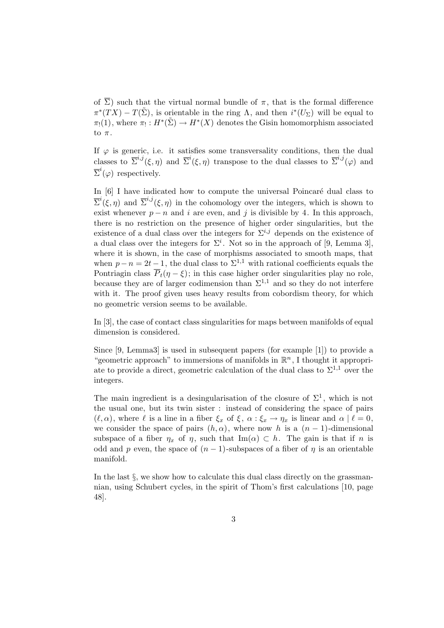of  $\overline{\Sigma}$ ) such that the virtual normal bundle of  $\pi$ , that is the formal difference  $\pi^*(TX) - T(\tilde{\Sigma})$ , is orientable in the ring  $\Lambda$ , and then  $i^*(U_{\Sigma})$  will be equal to  $\pi_!(1)$ , where  $\pi_!: H^*(\tilde{\Sigma}) \to H^*(X)$  denotes the Gisin homomorphism associated to  $\pi$ .

If  $\varphi$  is generic, i.e. it satisfies some transversality conditions, then the dual classes to  $\overline{\Sigma}^{i,j}(\xi,\eta)$  and  $\overline{\Sigma}^{i}(\xi,\eta)$  transpose to the dual classes to  $\overline{\Sigma}^{i,j}(\varphi)$  and  $\overline{\Sigma}^i(\varphi)$  respectively.

In  $[6]$  I have indicated how to compute the universal Poincaré dual class to  $\overline{\Sigma}^i(\xi,\eta)$  and  $\overline{\Sigma}^{i,j}(\xi,\eta)$  in the cohomology over the integers, which is shown to exist whenever  $p - n$  and i are even, and j is divisible by 4. In this approach, there is no restriction on the presence of higher order singularities, but the existence of a dual class over the integers for  $\Sigma^{i,j}$  depends on the existence of a dual class over the integers for  $\Sigma^i$ . Not so in the approach of [9, Lemma 3], where it is shown, in the case of morphisms associated to smooth maps, that when  $p - n = 2t - 1$ , the dual class to  $\Sigma^{1,1}$  with rational coefficients equals the Pontriagin class  $\overline{P}_t(\eta - \xi)$ ; in this case higher order singularities play no role, because they are of larger codimension than  $\Sigma^{1,1}$  and so they do not interfere with it. The proof given uses heavy results from cobordism theory, for which no geometric version seems to be available.

In [3], the case of contact class singularities for maps between manifolds of equal dimension is considered.

Since [9, Lemma3] is used in subsequent papers (for example [1]) to provide a "geometric approach" to immersions of manifolds in  $\mathbb{R}^n$ , I thought it appropriate to provide a direct, geometric calculation of the dual class to  $\Sigma^{1,1}$  over the integers.

The main ingredient is a desingularisation of the closure of  $\Sigma^1$ , which is not the usual one, but its twin sister : instead of considering the space of pairs  $(\ell, \alpha)$ , where  $\ell$  is a line in a fiber  $\xi_x$  of  $\xi$ ,  $\alpha : \xi_x \to \eta_x$  is linear and  $\alpha \mid \ell = 0$ , we consider the space of pairs  $(h, \alpha)$ , where now h is a  $(n - 1)$ -dimensional subspace of a fiber  $\eta_x$  of  $\eta$ , such that Im( $\alpha$ )  $\subset h$ . The gain is that if n is odd and p even, the space of  $(n-1)$ -subspaces of a fiber of  $\eta$  is an orientable manifold.

In the last  $\S$ , we show how to calculate this dual class directly on the grassmannian, using Schubert cycles, in the spirit of Thom's first calculations [10, page 48].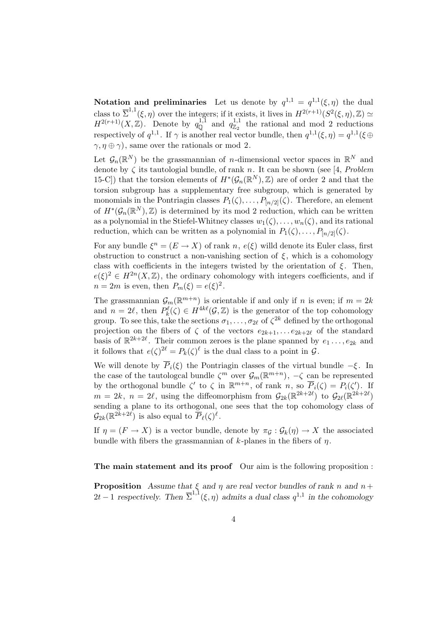Notation and preliminaries Let us denote by  $q^{1,1} = q^{1,1}(\xi, \eta)$  the dual class to  $\overline{\Sigma}^{1,1}(\xi,\eta)$  over the integers; if it exists, it lives in  $H^{2(r+1)}(S^2(\xi,\eta),\mathbb{Z}) \simeq$  $H^{2(r+1)}(X,\mathbb{Z})$ . Denote by  $q_{\mathbb{Q}}^{1,1}$  and  $q_{\mathbb{Z}_2}^{1,1}$  the rational and mod 2 reductions respectively of  $q^{1,1}$ . If  $\gamma$  is another real vector bundle, then  $q^{1,1}(\xi, \eta) = q^{1,1}(\xi \oplus$  $\gamma, \eta \oplus \gamma$ , same over the rationals or mod 2.

Let  $\mathcal{G}_n(\mathbb{R}^N)$  be the grassmannian of *n*-dimensional vector spaces in  $\mathbb{R}^N$  and denote by  $\zeta$  its tautologial bundle, of rank n. It can be shown (see [4, Problem 15-C]) that the torsion elements of  $H^*(\mathcal{G}_n(\mathbb{R}^N), \mathbb{Z})$  are of order 2 and that the torsion subgroup has a supplementary free subgroup, which is generated by monomials in the Pontriagin classes  $P_1(\zeta), \ldots, P_{[n/2]}(\zeta)$ . Therefore, an element of  $H^*(\mathcal{G}_n(\mathbb{R}^N), \mathbb{Z})$  is determined by its mod 2 reduction, which can be written as a polynomial in the Stiefel-Whitney classes  $w_1(\zeta), \ldots, w_n(\zeta)$ , and its rational reduction, which can be written as a polynomial in  $P_1(\zeta), \ldots, P_{[n/2]}(\zeta)$ .

For any bundle  $\xi^n = (E \to X)$  of rank  $n, e(\xi)$  willd denote its Euler class, first obstruction to construct a non-vanishing section of  $\xi$ , which is a cohomology class with coefficients in the integers twisted by the orientation of  $\xi$ . Then,  $e(\xi)^2 \in H^{2n}(X,\mathbb{Z})$ , the ordinary cohomology with integers coefficients, and if  $n=2m$  is even, then  $P_m(\xi) = e(\xi)^2$ .

The grassmannian  $\mathcal{G}_m(\mathbb{R}^{m+n})$  is orientable if and only if n is even; if  $m=2k$ and  $n = 2\ell$ , then  $P_k^{\ell}(\zeta) \in H^{4k\ell}(\mathcal{G}, \mathbb{Z})$  is the generator of the top cohomology group. To see this, take the sections  $\sigma_1, \ldots, \sigma_{2\ell}$  of  $\zeta^{2k}$  defined by the orthogonal projection on the fibers of  $\zeta$  of the vectors  $e_{2k+1}, \ldots e_{2k+2\ell}$  of the standard basis of  $\mathbb{R}^{2k+2\ell}$ . Their common zeroes is the plane spanned by  $e_1 \ldots, e_{2k}$  and it follows that  $e(\zeta)^{2\ell} = P_k(\zeta)^{\ell}$  is the dual class to a point in  $\mathcal{G}$ .

We will denote by  $\overline{P}_i(\xi)$  the Pontriagin classes of the virtual bundle  $-\xi$ . In the case of the tautologcal bundle  $\zeta^m$  over  $\mathcal{G}_m(\mathbb{R}^{m+n})$ ,  $-\zeta$  can be represented by the orthogonal bundle  $\zeta'$  to  $\zeta$  in  $\mathbb{R}^{m+n}$ , of rank n, so  $\overline{P}_i(\zeta) = P_i(\zeta')$ . If  $m = 2k, n = 2\ell$ , using the diffeomorphism from  $\mathcal{G}_{2k}(\mathbb{R}^{2k+2\ell})$  to  $\mathcal{G}_{2\ell}(\mathbb{R}^{2k+2\ell})$ sending a plane to its orthogonal, one sees that the top cohomology class of  $\mathcal{G}_{2k}(\mathbb{R}^{2k+2\ell})$  is also equal to  $\overline{P}_{\ell}(\zeta)^{\ell}$ .

If  $\eta = (F \to X)$  is a vector bundle, denote by  $\pi_G : \mathcal{G}_k(\eta) \to X$  the associated bundle with fibers the grassmannian of  $k$ -planes in the fibers of  $\eta$ .

The main statement and its proof Our aim is the following proposition :

**Proposition** Assume that  $\xi$  and  $\eta$  are real vector bundles of rank n and  $n+$ 2t − 1 respectively. Then  $\overline{\Sigma}^{1,1}(\xi,\eta)$  admits a dual class  $q^{1,1}$  in the cohomology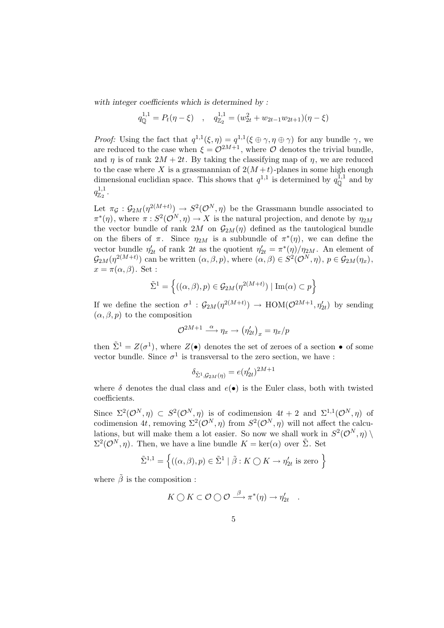with integer coefficients which is determined by :

$$
q_{\mathbb{Q}}^{1,1} = P_t(\eta - \xi) \quad , \quad q_{\mathbb{Z}_2}^{1,1} = (w_{2t}^2 + w_{2t-1}w_{2t+1})(\eta - \xi)
$$

*Proof:* Using the fact that  $q^{1,1}(\xi, \eta) = q^{1,1}(\xi \oplus \gamma, \eta \oplus \gamma)$  for any bundle  $\gamma$ , we are reduced to the case when  $\xi = \mathcal{O}^{2M+1}$ , where  $\mathcal O$  denotes the trivial bundle, and  $\eta$  is of rank  $2M + 2t$ . By taking the classifying map of  $\eta$ , we are reduced to the case where X is a grassmannian of  $2(M+t)$ -planes in some high enough dimensional euclidian space. This shows that  $q^{1,1}$  is determined by  $q_0^{1,1}$  and by  $q_{\mathbb{Z}_2}^{1,1}$  .

Let  $\pi_{\mathcal{G}}: \mathcal{G}_{2M}(\eta^{2(M+t)}) \to S^2(\mathcal{O}^N, \eta)$  be the Grassmann bundle associated to  $\pi^*(\eta)$ , where  $\pi : S^2(\mathcal{O}^N, \eta) \to X$  is the natural projection, and denote by  $\eta_{2M}$ the vector bundle of rank 2M on  $\mathcal{G}_{2M}(\eta)$  defined as the tautological bundle on the fibers of  $\pi$ . Since  $\eta_{2M}$  is a subbundle of  $\pi^*(\eta)$ , we can define the vector bundle  $\eta'_{2t}$  of rank 2t as the quotient  $\eta'_{2t} = \pi^*(\eta)/\eta_{2M}$ . An element of  $\mathcal{G}_{2M}(\eta^{2(M+t)})$  can be written  $(\alpha,\beta,p)$ , where  $(\alpha,\beta) \in S^2(\mathcal{O}^N,\eta)$ ,  $p \in \mathcal{G}_{2M}(\eta_x)$ ,  $x = \pi(\alpha, \beta)$ . Set :

$$
\tilde{\Sigma}^1 = \left\{ ((\alpha, \beta), p) \in \mathcal{G}_{2M}(\eta^{2(M+t)}) \mid \text{Im}(\alpha) \subset p \right\}
$$

If we define the section  $\sigma^1$ :  $\mathcal{G}_{2M}(\eta^{2(M+t)}) \to \text{HOM}(\mathcal{O}^{2M+1}, \eta'_{2t})$  by sending  $(\alpha, \beta, p)$  to the composition

$$
\mathcal{O}^{2M+1} \xrightarrow{\alpha} \eta_x \to (\eta'_{2t})_x = \eta_x/p
$$

then  $\tilde{\Sigma}^1 = Z(\sigma^1)$ , where  $Z(\bullet)$  denotes the set of zeroes of a section  $\bullet$  of some vector bundle. Since  $\sigma^1$  is transversal to the zero section, we have :

$$
\delta_{\tilde\Sigma^1,\mathcal{G}_{2M}(\eta)}=e(\eta'_{2t})^{2M+1}
$$

where  $\delta$  denotes the dual class and  $e(\bullet)$  is the Euler class, both with twisted coefficients.

Since  $\Sigma^2(\mathcal{O}^N, \eta) \subset S^2(\mathcal{O}^N, \eta)$  is of codimension  $4t + 2$  and  $\Sigma^{1,1}(\mathcal{O}^N, \eta)$  of codimension 4t, removing  $\Sigma^2(\mathcal{O}^N, \eta)$  from  $S^2(\mathcal{O}^N, \eta)$  will not affect the calculations, but will make them a lot easier. So now we shall work in  $S^2(\mathcal{O}^N, \eta)$  $\Sigma^2(\mathcal{O}^N, \eta)$ . Then, we have a line bundle  $K = \text{ker}(\alpha)$  over  $\tilde{\Sigma}$ . Set

$$
\tilde{\Sigma}^{1,1} = \left\{ ((\alpha,\beta), p) \in \tilde{\Sigma}^1 \mid \tilde{\beta} : K \bigcirc K \to \eta'_{2t} \text{ is zero } \right\}
$$

where  $\tilde{\beta}$  is the composition :

$$
K \bigcirc K \subset \mathcal{O} \bigcirc \mathcal{O} \stackrel{\beta}{\longrightarrow} \pi^*(\eta) \to \eta'_{2t} .
$$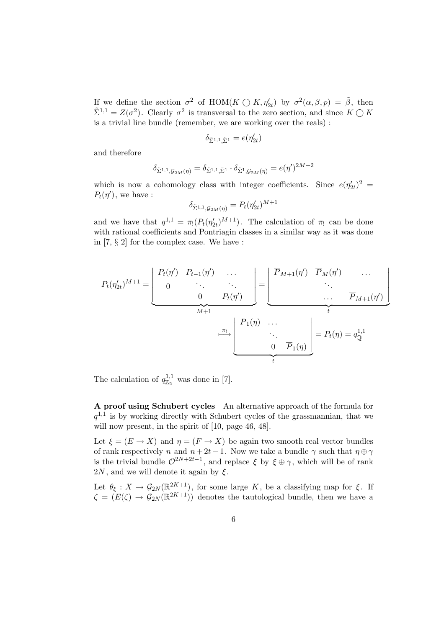If we define the section  $\sigma^2$  of HOM( $K \bigcirc K$ ,  $\eta'_{2t}$ ) by  $\sigma^2(\alpha, \beta, p) = \tilde{\beta}$ , then  $\tilde{\Sigma}^{1,1} = Z(\sigma^2)$ . Clearly  $\sigma^2$  is transversal to the zero section, and since  $K \bigcirc K$ is a trivial line bundle (remember, we are working over the reals) :

$$
\delta_{\tilde{\Sigma}^{1,1},\tilde{\Sigma}^1}=e(\eta'_{2t})
$$

and therefore

$$
\delta_{\tilde{\Sigma}^{1,1},\mathcal{G}_{2M}(\eta)} = \delta_{\tilde{\Sigma}^{1,1},\tilde{\Sigma}^{1}} \cdot \delta_{\tilde{\Sigma}^{1},\mathcal{G}_{2M}(\eta)} = e(\eta')^{2M+2}
$$

which is now a cohomology class with integer coefficients. Since  $e(\eta'_{2t})^2$  =  $P_t(\eta')$ , we have :

$$
\delta_{\tilde{\Sigma}^{1,1},\mathcal{G}_{2M}(\eta)} = P_t(\eta'_{2t})^{M+1}
$$

and we have that  $q^{1,1} = \pi_!(P_t(\eta_{2t}^{\prime})^{M+1})$ . The calculation of  $\pi_!$  can be done with rational coefficients and Pontriagin classes in a similar way as it was done in [7, § 2] for the complex case. We have :

$$
P_t(\eta'_{2t})^{M+1} = \underbrace{\begin{bmatrix} P_t(\eta') & P_{t-1}(\eta') & \dots & \cdots & \cdots & \cdots & \cdots & \cdots & \cdots & \cdots & \cdots & \cdots & \cdots & \cdots & \cdots & \cdots & \cdots & \cdots & \cdots & \cdots & \cdots & \cdots & \cdots & \cdots & \cdots & \cdots & \cdots & \cdots & \cdots & \cdots & \cdots & \cdots & \cdots & \cdots & \cdots & \cdots & \cdots & \cdots & \cdots & \cdots & \cdots & \cdots & \cdots & \cdots & \cdots & \cdots & \cdots & \cdots & \cdots & \cdots & \cdots & \cdots & \cdots & \cdots & \cdots & \cdots & \cdots & \cdots & \cdots & \cdots & \cdots & \cdots & \cdots & \cdots & \cdots & \cdots & \cdots & \cdots & \cdots & \cdots & \cdots & \cdots & \cdots & \cdots & \cdots & \cdots & \cdots & \cdots & \cdots & \cdots & \cdots & \cdots & \cdots & \cdots & \cdots & \cdots & \cdots & \cdots & \cdots & \cdots & \cdots & \cdots & \cdots & \cdots & \cdots & \cdots & \cdots & \cdots & \cdots & \cdots & \cdots & \cdots & \cdots & \cdots & \cdots & \cdots & \cdots & \cdots & \cdots & \cdots & \cdots & \cdots & \cdots & \cdots & \cdots & \cdots & \cdots & \cdots & \cdots & \cdots & \cdots & \cd
$$

The calculation of  $q_{\mathbb{Z}_2}^{1,1}$  was done in [7].

A proof using Schubert cycles An alternative approach of the formula for  $q^{1,1}$  is by working directly with Schubert cycles of the grassmannian, that we will now present, in the spirit of [10, page 46, 48].

Let  $\xi = (E \to X)$  and  $\eta = (F \to X)$  be again two smooth real vector bundles of rank respectively n and  $n + 2t - 1$ . Now we take a bundle  $\gamma$  such that  $\eta \oplus \gamma$ is the trivial bundle  $\mathcal{O}^{2N+2t-1}$ , and replace  $\xi$  by  $\xi \oplus \gamma$ , which will be of rank  $2N$ , and we will denote it again by  $\xi$ .

Let  $\theta_{\xi}: X \to \mathcal{G}_{2N}(\mathbb{R}^{2K+1})$ , for some large K, be a classifying map for  $\xi$ . If  $\zeta = (E(\zeta) \to \mathcal{G}_{2N}(\mathbb{R}^{2K+1}))$  denotes the tautological bundle, then we have a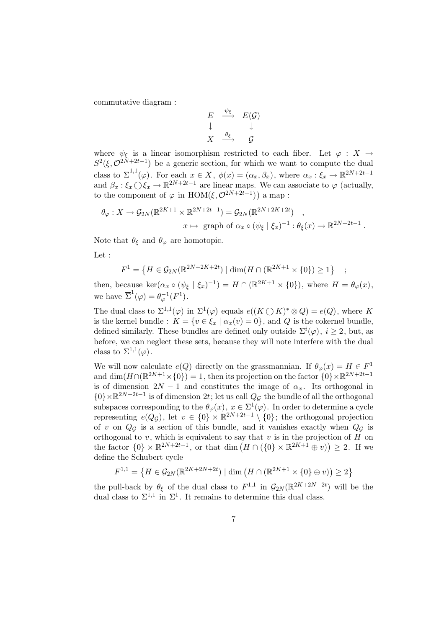commutative diagram :

$$
\begin{array}{ccc}\nE & \xrightarrow{\psi_{\xi}} & E(\mathcal{G}) \\
\downarrow & & \downarrow \\
X & \xrightarrow{\theta_{\xi}} & \mathcal{G}\n\end{array}
$$

where  $\psi_{\xi}$  is a linear isomorphism restricted to each fiber. Let  $\varphi : X \to$  $S^2(\xi, \mathcal{O}^{2N+2t-1})$  be a generic section, for which we want to compute the dual class to  $\overline{\Sigma}^{1,1}(\varphi)$ . For each  $x \in X$ ,  $\phi(x) = (\alpha_x, \beta_x)$ , where  $\alpha_x : \xi_x \to \mathbb{R}^{2N+2t-1}$ and  $\beta_x : \xi_x \bigcirc \xi_x \to \mathbb{R}^{2N+2t-1}$  are linear maps. We can associate to  $\varphi$  (actually, to the component of  $\varphi$  in HOM( $\xi, \mathcal{O}^{2N+2t-1}$ )) a map :

$$
\theta_{\varphi}: X \to \mathcal{G}_{2N}(\mathbb{R}^{2K+1} \times \mathbb{R}^{2N+2t-1}) = \mathcal{G}_{2N}(\mathbb{R}^{2N+2K+2t}) ,
$$
  

$$
x \mapsto \text{graph of } \alpha_x \circ (\psi_{\xi} \mid \xi_x)^{-1} : \theta_{\xi}(x) \to \mathbb{R}^{2N+2t-1} .
$$

Note that  $\theta_{\xi}$  and  $\theta_{\varphi}$  are homotopic.

Let :

$$
F^{1} = \left\{ H \in \mathcal{G}_{2N}(\mathbb{R}^{2N+2K+2t}) \mid \dim(H \cap (\mathbb{R}^{2K+1} \times \{0\}) \ge 1 \right\}
$$

;

then, because ker $(\alpha_x \circ (\psi_{\xi} \mid \xi_x)^{-1}) = H \cap (\mathbb{R}^{2K+1} \times \{0\})$ , where  $H = \theta_{\varphi}(x)$ , we have  $\overline{\Sigma}^1(\varphi) = \theta_{\varphi}^{-1}(F^1)$ .

The dual class to  $\Sigma^{1,1}(\varphi)$  in  $\Sigma^1(\varphi)$  equals  $e((K \bigcirc K)^* \otimes Q) = e(Q)$ , where K is the kernel bundle :  $K = \{v \in \xi_x \mid \alpha_x(v) = 0\}$ , and Q is the cokernel bundle, defined similarly. These bundles are defined only outside  $\Sigma^{i}(\varphi)$ ,  $i \geq 2$ , but, as before, we can neglect these sets, because they will note interfere with the dual class to  $\Sigma^{1,1}(\varphi)$ .

We will now calculate  $e(Q)$  directly on the grassmannian. If  $\theta_{\varphi}(x) = H \in F^1$ and  $\dim(H \cap (\mathbb{R}^{2K+1} \times \{0\}) = 1$ , then its projection on the factor  $\{0\} \times \mathbb{R}^{2N+2t-1}$ is of dimension  $2N-1$  and constitutes the image of  $\alpha_x$ . Its orthogonal in {0} ×  $\mathbb{R}^{2N+2t-1}$  is of dimension  $2t$ ; let us call  $Q_{\mathcal{G}}$  the bundle of all the orthogonal subspaces corresponding to the  $\theta_{\varphi}(x)$ ,  $x \in \Sigma^1(\varphi)$ . In order to determine a cycle representing  $e(Q_{\mathcal{G}})$ , let  $v \in \{0\} \times \mathbb{R}^{2N+2t-1} \setminus \{0\}$ ; the orthogonal projection of v on  $Q_{\mathcal{G}}$  is a section of this bundle, and it vanishes exactly when  $Q_{\mathcal{G}}$  is orthogonal to v, which is equivalent to say that v is in the projection of  $H$  on the factor  $\{0\} \times \mathbb{R}^{2N+2t-1}$ , or that dim  $(H \cap (\{0\} \times \mathbb{R}^{2K+1} \oplus v)) \geq 2$ . If we define the Schubert cycle

$$
F^{1,1} = \left\{ H \in \mathcal{G}_{2N}(\mathbb{R}^{2K+2N+2t}) \mid \dim \left( H \cap (\mathbb{R}^{2K+1} \times \{0\} \oplus v) \right) \ge 2 \right\}
$$

the pull-back by  $\theta_{\xi}$  of the dual class to  $F^{1,1}$  in  $\mathcal{G}_{2N}(\mathbb{R}^{2K+2N+2t})$  will be the dual class to  $\Sigma^{1,1}$  in  $\Sigma^1$ . It remains to determine this dual class.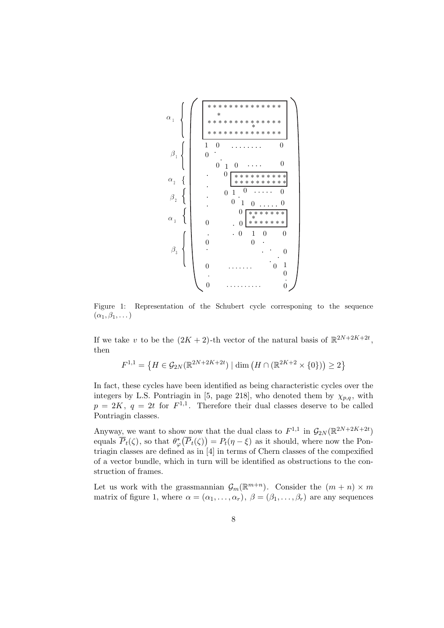

Figure 1: Representation of the Schubert cycle corresponing to the sequence  $(\alpha_1, \beta_1, \dots)$ 

If we take v to be the  $(2K + 2)$ -th vector of the natural basis of  $\mathbb{R}^{2N+2K+2t}$ , then

$$
F^{1,1} = \left\{ H \in \mathcal{G}_{2N}(\mathbb{R}^{2N + 2K + 2t}) \mid \dim \left( H \cap (\mathbb{R}^{2K + 2} \times \{0\}) \right) \ge 2 \right\}
$$

In fact, these cycles have been identified as being characteristic cycles over the integers by L.S. Pontriagin in [5, page 218], who denoted them by  $\chi_{p,q}$ , with  $p = 2K, q = 2t$  for  $F^{1,1}$ . Therefore their dual classes deserve to be called Pontriagin classes.

Anyway, we want to show now that the dual class to  $F^{1,1}$  in  $\mathcal{G}_{2N}(\mathbb{R}^{2N+2K+2t})$ equals  $\overline{P}_t(\zeta)$ , so that  $\theta_{\varphi}^*(\overline{P}_t(\zeta)) = P_t(\eta - \xi)$  as it should, where now the Pontriagin classes are defined as in [4] in terms of Chern classes of the compexified of a vector bundle, which in turn will be identified as obstructions to the construction of frames.

Let us work with the grassmannian  $\mathcal{G}_m(\mathbb{R}^{m+n})$ . Consider the  $(m+n) \times m$ matrix of figure 1, where  $\alpha = (\alpha_1, \ldots, \alpha_r)$ ,  $\beta = (\beta_1, \ldots, \beta_r)$  are any sequences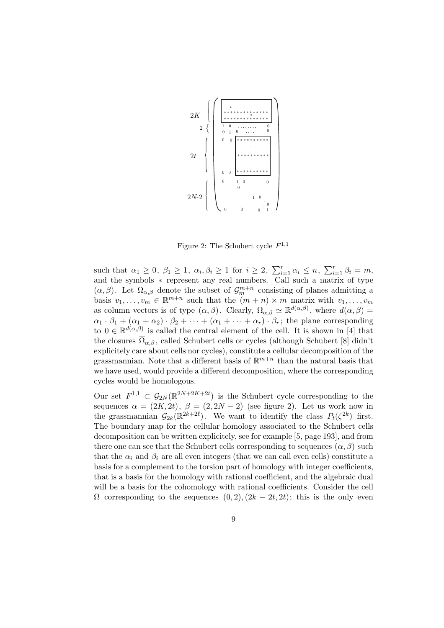

Figure 2: The Schubert cycle  $F^{1,1}$ 

such that  $\alpha_1 \geq 0$ ,  $\beta_1 \geq 1$ ,  $\alpha_i, \beta_i \geq 1$  for  $i \geq 2$ ,  $\sum_{i=1}^r \alpha_i \leq n$ ,  $\sum_{i=1}^r \beta_i = m$ , and the symbols ∗ represent any real numbers. Call such a matrix of type  $(\alpha, \beta)$ . Let  $\Omega_{\alpha, \beta}$  denote the subset of  $\mathcal{G}_m^{m+n}$  consisting of planes admitting a basis  $v_1, \ldots, v_m \in \mathbb{R}^{m+n}$  such that the  $(m+n) \times m$  matrix with  $v_1, \ldots, v_m$ as column vectors is of type  $(\alpha, \beta)$ . Clearly,  $\Omega_{\alpha, \beta} \simeq \mathbb{R}^{d(\alpha, \beta)}$ , where  $d(\alpha, \beta) =$  $\alpha_1 \cdot \beta_1 + (\alpha_1 + \alpha_2) \cdot \beta_2 + \cdots + (\alpha_1 + \cdots + \alpha_r) \cdot \beta_r$ ; the plane corresponding to  $0 \in \mathbb{R}^{d(\alpha,\beta)}$  is called the central element of the cell. It is shown in [4] that the closures  $\overline{\Omega}_{\alpha,\beta}$ , called Schubert cells or cycles (although Schubert [8] didn't explicitely care about cells nor cycles), constitute a cellular decomposition of the grassmannian. Note that a different basis of  $\mathbb{R}^{m+n}$  than the natural basis that we have used, would provide a different decomposition, where the corresponding cycles would be homologous.

Our set  $F^{1,1} \subset \mathcal{G}_{2N}(\mathbb{R}^{2N+2K+2t})$  is the Schubert cycle corresponding to the sequences  $\alpha = (2K, 2t), \ \beta = (2, 2N - 2)$  (see figure 2). Let us work now in the grassmannian  $\mathcal{G}_{2k}(\mathbb{R}^{2k+2\ell})$ . We want to identify the class  $P_t(\zeta^{2k})$  first. The boundary map for the cellular homology associated to the Schubert cells decomposition can be written explicitely, see for example [5, page 193], and from there one can see that the Schubert cells corresponding to sequences  $(\alpha, \beta)$  such that the  $\alpha_i$  and  $\beta_i$  are all even integers (that we can call even cells) constitute a basis for a complement to the torsion part of homology with integer coefficients, that is a basis for the homology with rational coefficient, and the algebraic dual will be a basis for the cohomology with rational coefficients. Consider the cell  $\Omega$  corresponding to the sequences  $(0, 2)$ ,  $(2k - 2t, 2t)$ ; this is the only even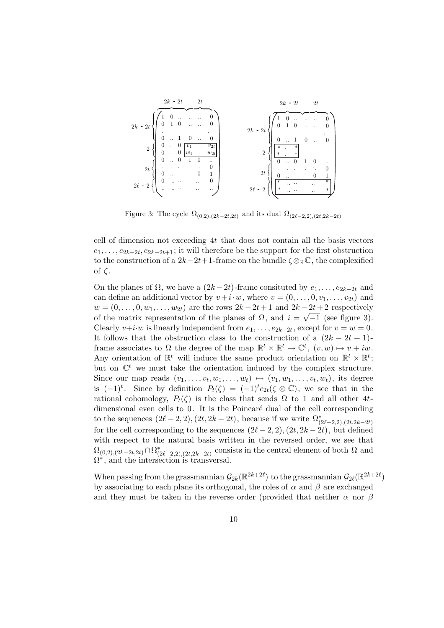

Figure 3: The cycle  $\Omega_{(0,2),(2k-2t,2t)}$  and its dual  $\Omega_{(2\ell-2,2),(2t,2k-2t)}$ 

cell of dimension not exceeding 4t that does not contain all the basis vectors  $e_1, \ldots, e_{2k-2t}, e_{2k-2t+1}$ ; it will therefore be the support for the first obstruction to the construction of a  $2k-2t+1$ -frame on the bundle  $\zeta \otimes_{\mathbb{R}} \mathbb{C}$ , the complexified of  $\zeta$ .

On the planes of  $\Omega$ , we have a  $(2k-2t)$ -frame consituted by  $e_1, \ldots, e_{2k-2t}$  and can define an additional vector by  $v + i \cdot w$ , where  $v = (0, \ldots, 0, v_1, \ldots, v_{2t})$  and  $w = (0, \ldots, 0, w_1, \ldots, w_{2t})$  are the rows  $2k - 2t + 1$  and  $2k - 2t + 2$  respectively of the matrix representation of the planes of  $\Omega$ , and  $i = \sqrt{-1}$  (see figure 3). Clearly  $v+i \cdot w$  is linearly independent from  $e_1, \ldots, e_{2k-2t}$ , except for  $v = w = 0$ . It follows that the obstruction class to the construction of a  $(2k - 2t + 1)$ frame associates to  $\Omega$  the degree of the map  $\mathbb{R}^t \times \mathbb{R}^t \to \mathbb{C}^t$ ,  $(v, w) \mapsto v + iw$ . Any orientation of  $\mathbb{R}^t$  will induce the same product orientation on  $\mathbb{R}^t \times \mathbb{R}^t$ ; but on  $\mathbb{C}^t$  we must take the orientation induced by the complex structure. Since our map reads  $(v_1, \ldots, v_t, w_1, \ldots, w_t) \mapsto (v_1, w_1, \ldots, v_t, w_t)$ , its degree is  $(-1)^t$ . Since by definition  $P_t(\zeta) = (-1)^t c_{2t}(\zeta \otimes \mathbb{C})$ , we see that in the rational cohomology,  $P_t(\zeta)$  is the class that sends  $\Omega$  to 1 and all other 4tdimensional even cells to 0. It is the Poincaré dual of the cell corresponding to the sequences  $(2l-2, 2), (2t, 2k-2t)$ , because if we write  $\Omega^*_{(2l-2, 2), (2t, 2k-2t)}$ for the cell corresponding to the sequences  $(2\ell-2, 2), (2t, 2k-2t)$ , but defined with respect to the natural basis written in the reversed order, we see that  $\Omega_{(0,2),(2k-2t,2t)} \cap \Omega_{(2\ell-2,2),(2t,2k-2t)}^*$  consists in the central element of both  $\Omega$  and  $\Omega^*$ , and the intersection is transversal.

When passing from the grassmannian  $\mathcal{G}_{2k}(\mathbb{R}^{2k+2\ell})$  to the grassmannian  $\mathcal{G}_{2\ell}(\mathbb{R}^{2k+2\ell})$ by associating to each plane its orthogonal, the roles of  $\alpha$  and  $\beta$  are exchanged and they must be taken in the reverse order (provided that neither  $\alpha$  nor  $\beta$